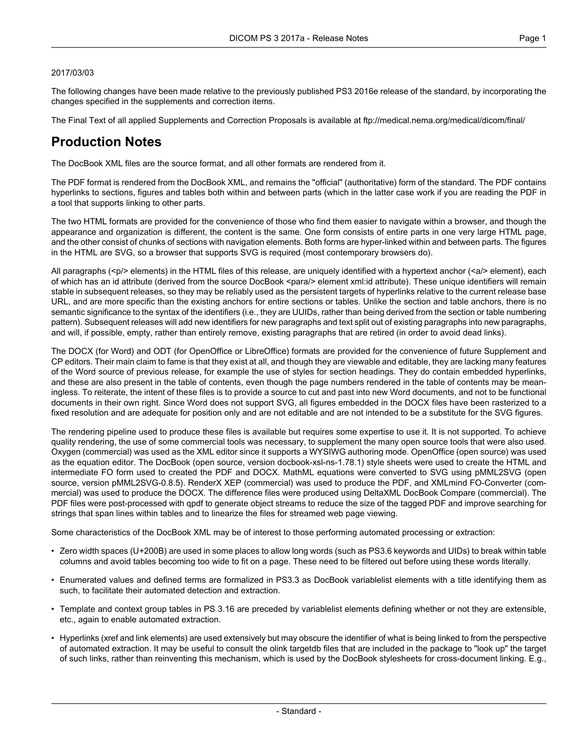#### 2017/03/03

The following changes have been made relative to the previously published PS3 2016e release of the standard, by incorporating the changes specified in the supplements and correction items.

The Final Text of all applied Supplements and Correction Proposals is available at <ftp://medical.nema.org/medical/dicom/final/>

## **Production Notes**

The DocBook XML files are the source format, and all other formats are rendered from it.

The PDF format is rendered from the DocBook XML, and remains the "official" (authoritative) form of the standard. The PDF contains hyperlinks to sections, figures and tables both within and between parts (which in the latter case work if you are reading the PDF in a tool that supports linking to other parts.

The two HTML formats are provided for the convenience of those who find them easier to navigate within a browser, and though the appearance and organization is different, the content is the same. One form consists of entire parts in one very large HTML page, and the other consist of chunks of sections with navigation elements. Both forms are hyper-linked within and between parts. The figures in the HTML are SVG, so a browser that supports SVG is required (most contemporary browsers do).

All paragraphs (<p/> elements) in the HTML files of this release, are uniquely identified with a hypertext anchor (<a/><a/>> element), each of which has an id attribute (derived from the source DocBook <para/> element xml:id attribute). These unique identifiers will remain stable in subsequent releases, so they may be reliably used as the persistent targets of hyperlinks relative to the current release base URL, and are more specific than the existing anchors for entire sections or tables. Unlike the section and table anchors, there is no semantic significance to the syntax of the identifiers (i.e., they are UUIDs, rather than being derived from the section or table numbering pattern). Subsequent releases will add new identifiers for new paragraphs and text split out of existing paragraphs into new paragraphs, and will, if possible, empty, rather than entirely remove, existing paragraphs that are retired (in order to avoid dead links).

The DOCX (for Word) and ODT (for OpenOffice or LibreOffice) formats are provided for the convenience of future Supplement and CP editors. Their main claim to fame is that they exist at all, and though they are viewable and editable, they are lacking many features of the Word source of previous release, for example the use of styles for section headings. They do contain embedded hyperlinks, and these are also present in the table of contents, even though the page numbers rendered in the table of contents may be mean ingless. To reiterate, the intent of these files is to provide a source to cut and past into new Word documents, and not to be functional documents in their own right. Since Word does not support SVG, all figures embedded in the DOCX files have been rasterized to a fixed resolution and are adequate for position only and are not editable and are not intended to be a substitute for the SVG figures.

The rendering pipeline used to produce these files is available but requires some expertise to use it. It is not supported. To achieve quality rendering, the use of some commercial tools was necessary, to supplement the many open source tools that were also used. Oxygen (commercial) was used as the XML editor since it supports a WYSIWG authoring mode. OpenOffice (open source) was used as the equation editor. The DocBook (open source, version docbook-xsl-ns-1.78.1) style sheets were used to create the HTML and intermediate FO form used to created the PDF and DOCX. MathML equations were converted to SVG using pMML2SVG (open source, version pMML2SVG-0.8.5). RenderX XEP (commercial) was used to produce the PDF, and XMLmind FO-Converter (com mercial) was used to produce the DOCX. The difference files were produced using DeltaXML DocBook Compare (commercial). The PDF files were post-processed with qpdf to generate object streams to reduce the size of the tagged PDF and improve searching for strings that span lines within tables and to linearize the files for streamed web page viewing.

Some characteristics of the DocBook XML may be of interest to those performing automated processing or extraction:

- Zero width spaces (U+200B) are used in some places to allow long words (such as PS3.6 keywords and UIDs) to break within table columns and avoid tables becoming too wide to fit on a page. These need to be filtered out before using these words literally.
- Enumerated values and defined terms are formalized in PS3.3 as DocBook variablelist elements with a title identifying them as such, to facilitate their automated detection and extraction.
- Template and context group tables in PS 3.16 are preceded by variablelist elements defining whether or not they are extensible, etc., again to enable automated extraction.
- Hyperlinks (xref and link elements) are used extensively but may obscure the identifier of what is being linked to from the perspective of automated extraction. It may be useful to consult the olink targetdb files that are included in the package to "look up" the target of such links, rather than reinventing this mechanism, which is used by the DocBook stylesheets for cross-document linking. E.g.,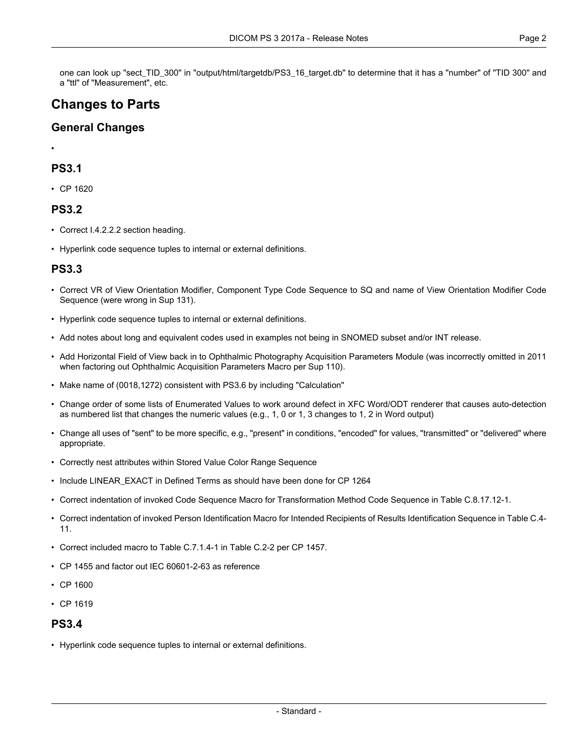one can look up "sect\_TID\_300" in "output/html/targetdb/PS3\_16\_target.db" to determine that it has a "number" of "TID 300" and a "ttl" of "Measurement", etc.

# **Changes to Parts**

### **General Changes**

•

## **PS3.1**

• CP [1620](#page-3-0)

#### **PS3.2**

- Correct I.4.2.2.2 section heading.
- Hyperlink code sequence tuples to internal or external definitions.

## **PS3.3**

- Correct VR of View Orientation Modifier, Component Type Code Sequence to SQ and name of View Orientation Modifier Code Sequence (were wrong in Sup 131).
- Hyperlink code sequence tuples to internal or external definitions.
- Add notes about long and equivalent codes used in examples not being in SNOMED subset and/or INT release.
- Add Horizontal Field of View back in to Ophthalmic Photography Acquisition Parameters Module (was incorrectly omitted in 2011 when factoring out Ophthalmic Acquisition Parameters Macro per Sup 110).
- Make name of (0018,1272) consistent with PS3.6 by including "Calculation"
- Change order of some lists of Enumerated Values to work around defect in XFC Word/ODT renderer that causes auto-detection as numbered list that changes the numeric values (e.g., 1, 0 or 1, 3 changes to 1, 2 in Word output)
- Change all uses of "sent" to be more specific, e.g., "present" in conditions, "encoded" for values, "transmitted" or "delivered" where appropriate.
- Correctly nest attributes within Stored Value Color Range Sequence
- Include LINEAR\_EXACT in Defined Terms as should have been done for CP 1264
- Correct indentation of invoked Code Sequence Macro for Transformation Method Code Sequence in Table C.8.17.12-1.
- Correct indentation of invoked Person Identification Macro for Intended Recipients of Results Identification Sequence in Table C.4- 11.
- Correct included macro to Table C.7.1.4-1 in Table C.2-2 per CP 1457.
- CP [1455](#page-3-1) and factor out IEC 60601-2-63 as reference
- CP [1600](#page-3-2)
- CP [1619](#page-3-3)

#### **PS3.4**

• Hyperlink code sequence tuples to internal or external definitions.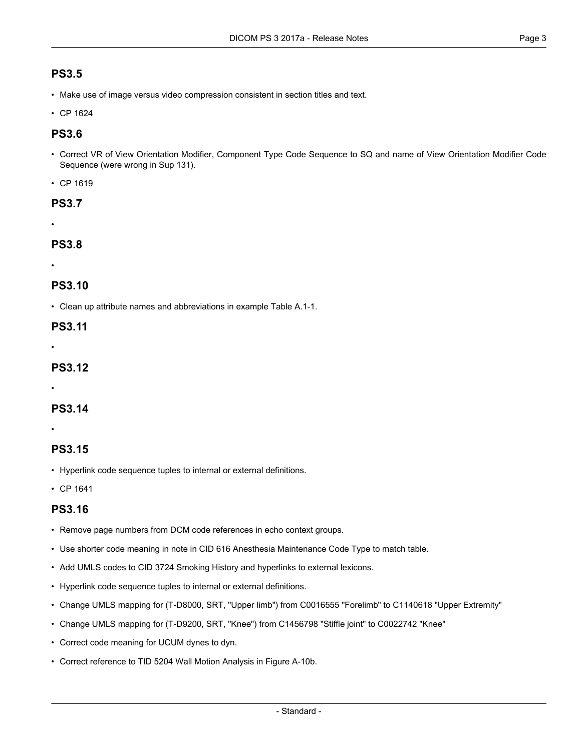## **PS3.5**

- Make use of image versus video compression consistent in section titles and text.
- CP [1624](#page-3-4)

### **PS3.6**

• Correct VR of View Orientation Modifier, Component Type Code Sequence to SQ and name of View Orientation Modifier Code Sequence (were wrong in Sup 131).

• CP [1619](#page-3-3)

#### **PS3.7**

•

## **PS3.8**

•

## **PS3.10**

• Clean up attribute names and abbreviations in example Table A.1-1.

#### **PS3.11**

•

## **PS3.12**

•

## **PS3.14**

•

## **PS3.15**

- Hyperlink code sequence tuples to internal or external definitions.
- CP [1641](#page-3-5)

## **PS3.16**

- Remove page numbers from DCM code references in echo context groups.
- Use shorter code meaning in note in CID 616 Anesthesia Maintenance Code Type to match table.
- Add UMLS codes to CID 3724 Smoking History and hyperlinks to external lexicons.
- Hyperlink code sequence tuples to internal or external definitions.
- Change UMLS mapping for (T-D8000, SRT, "Upper limb") from C0016555 "Forelimb" to C1140618 "Upper Extremity"
- Change UMLS mapping for (T-D9200, SRT, "Knee") from C1456798 "Stiffle joint" to C0022742 "Knee"
- Correct code meaning for UCUM dynes to dyn.
- Correct reference to TID 5204 Wall Motion Analysis in Figure A-10b.